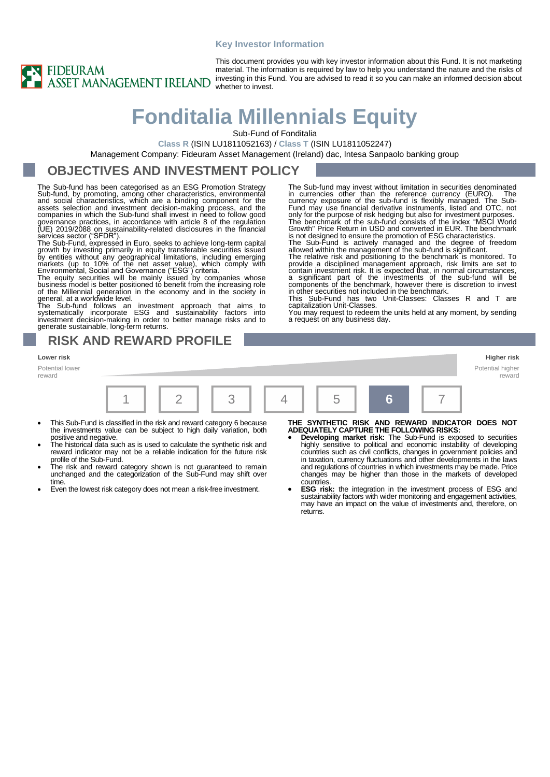#### **Key Investor Information**



This document provides you with key investor information about this Fund. It is not marketing material. The information is required by law to help you understand the nature and the risks of investing in this Fund. You are advised to read it so you can make an informed decision about whether to invest.

# **Fonditalia Millennials Equity**

Sub-Fund of Fonditalia

**Class R** (ISIN LU1811052163) / **Class T** (ISIN LU1811052247)

Management Company: Fideuram Asset Management (Ireland) dac, Intesa Sanpaolo banking group

### **OBJECTIVES AND INVESTMENT POLICY**

The Sub-fund has been categorised as an ESG Promotion Strategy Sub-fund, by promoting, among other characteristics, environmental<br>and social characteristics, which are a binding component for the<br>assets selection and investment decision-making process, and the<br>companies in which the S governance practices, in accordance with article 8 of the regulation (UE) 2019/2088 on sustainability-related disclosures in the financial<br>services sector ("SFDR").

The Sub-Fund, expressed in Euro, seeks to achieve long-term capital growth by investing primarily in equity transferable securities issued<br>by entities without any geographical limitations, including emerging<br>markets (up to 10% of the net asset value), which comply with<br>Environmental, Socia

business model is better positioned to benefit from the increasing role of the Millennial generation in the economy and in the sociĕty in<br>general, at a worldwide level.

The Sub-fund follows an investment approach that aims to<br>systematically incorporate ESG and sustainability factors into<br>investment decision-making in order to better manage risks and to<br>generate-sustainable, long-term-retu

**RISK AND REWARD PROFILE**

#### **Lower risk Higher risk**

Potential lower reward



capitalization Unit-Classes.

a request on any business day.

- This Sub-Fund is classified in the risk and reward category 6 because the investments value can be subject to high daily variation, both positive and negative.
- The historical data such as is used to calculate the synthetic risk and reward indicator may not be a reliable indication for the future risk profile of the Sub-Fund.
- The risk and reward category shown is not guaranteed to remain unchanged and the categorization of the Sub-Fund may shift over time.
- Even the lowest risk category does not mean a risk-free investment.

Potential higher reward

The Sub-fund may invest without limitation in securities denominated<br>in currencies other than the reference currency (EURO). The<br>currency exposure of the sub-fund is flexibly manged. The Sub-<br>Fund may use financial derivat

contain investment risk. It is expected that, in normal circumstances,<br>a significant part of the investments of the sub-fund will be<br>components of the benchmark, however there is discretion to invest<br>in other securities no

You may request to redeem the units held at any moment, by sending

- **THE SYNTHETIC RISK AND REWARD INDICATOR DOES NOT ADEQUATELY CAPTURE THE FOLLOWING RISKS:**
- **Developing market risk:** The Sub-Fund is exposed to securities highly sensitive to political and economic instability of developing countries such as civil conflicts, changes in government policies and in taxation, currency fluctuations and other developments in the laws and regulations of countries in which investments may be made. Price changes may be higher than those in the markets of developed countries.
- **ESG risk:** the integration in the investment process of ESG and sustainability factors with wider monitoring and engagement activities, may have an impact on the value of investments and, therefore, on returns.